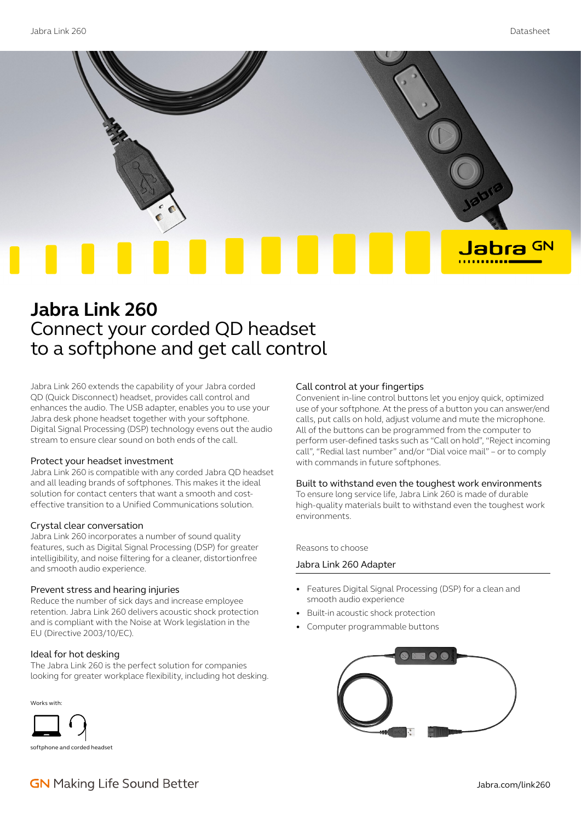

# **Jabra Link 260** Connect your corded QD headset to a softphone and get call control

Jabra Link 260 extends the capability of your Jabra corded QD (Quick Disconnect) headset, provides call control and enhances the audio. The USB adapter, enables you to use your Jabra desk phone headset together with your softphone. Digital Signal Processing (DSP) technology evens out the audio stream to ensure clear sound on both ends of the call.

### Protect your headset investment

Jabra Link 260 is compatible with any corded Jabra QD headset and all leading brands of softphones. This makes it the ideal solution for contact centers that want a smooth and costeffective transition to a Unified Communications solution.

### Crystal clear conversation

Jabra Link 260 incorporates a number of sound quality features, such as Digital Signal Processing (DSP) for greater intelligibility, and noise filtering for a cleaner, distortionfree and smooth audio experience.

# Prevent stress and hearing injuries

Reduce the number of sick days and increase employee retention. Jabra Link 260 delivers acoustic shock protection and is compliant with the Noise at Work legislation in the EU (Directive 2003/10/EC).

# Ideal for hot desking

The Jabra Link 260 is the perfect solution for companies looking for greater workplace flexibility, including hot desking.



#### Call control at your fingertips

Convenient in-line control buttons let you enjoy quick, optimized use of your softphone. At the press of a button you can answer/end calls, put calls on hold, adjust volume and mute the microphone. All of the buttons can be programmed from the computer to perform user-defined tasks such as "Call on hold", "Reject incoming call", "Redial last number" and/or "Dial voice mail" – or to comply with commands in future softphones.

### Built to withstand even the toughest work environments

To ensure long service life, Jabra Link 260 is made of durable high-quality materials built to withstand even the toughest work environments.

Reasons to choose

# Jabra Link 260 Adapter

- Features Digital Signal Processing (DSP) for a clean and smooth audio experience
- Built-in acoustic shock protection
- Computer programmable buttons